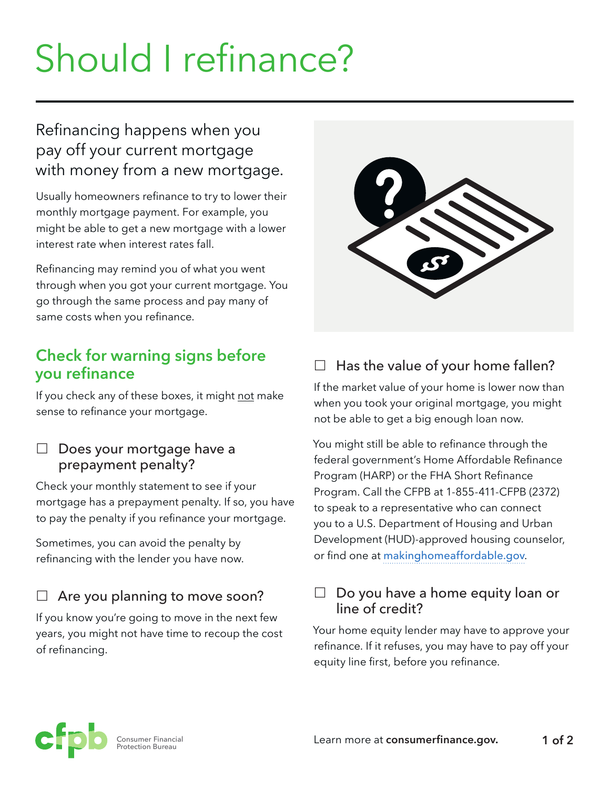# Should I refinance?

# Refinancing happens when you pay off your current mortgage with money from a new mortgage.

Usually homeowners refinance to try to lower their monthly mortgage payment. For example, you might be able to get a new mortgage with a lower interest rate when interest rates fall.

Refinancing may remind you of what you went through when you got your current mortgage. You go through the same process and pay many of same costs when you refinance.

## **Check for warning signs before you refinance**

If you check any of these boxes, it might not make sense to refinance your mortgage.

#### $\Box$  Does your mortgage have a prepayment penalty?

Check your monthly statement to see if your mortgage has a prepayment penalty. If so, you have to pay the penalty if you refinance your mortgage.

Sometimes, you can avoid the penalty by refinancing with the lender you have now.

### $\Box$  Are you planning to move soon?

If you know you're going to move in the next few years, you might not have time to recoup the cost of refinancing.



# $\square$  Has the value of your home fallen?

If the market value of your home is lower now than when you took your original mortgage, you might not be able to get a big enough loan now.

You might still be able to refinance through the federal government's Home Affordable Refinance Program (HARP) or the FHA Short Refinance Program. Call the CFPB at 1-855-411-CFPB (2372) to speak to a representative who can connect you to a U.S. Department of Housing and Urban Development (HUD)-approved housing counselor, or find one at makinghomeaffordable.gov.

#### $\Box$  Do you have a home equity loan or line of credit?

Your home equity lender may have to approve your refinance. If it refuses, you may have to pay off your equity line first, before you refinance.